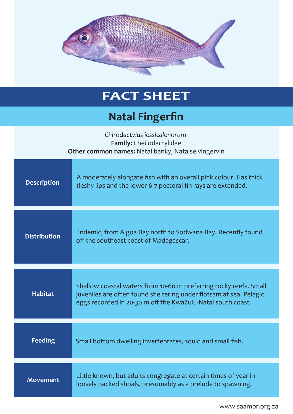

## **FACT SHEET**

## **Natal Fingerfin**

| Chirodactylus jessicalenorum<br>Family: Cheilodactylidae<br>Other common names: Natal banky, Natalse vingervin |                                                                                                                                                                                                        |
|----------------------------------------------------------------------------------------------------------------|--------------------------------------------------------------------------------------------------------------------------------------------------------------------------------------------------------|
| <b>Description</b>                                                                                             | A moderately elongate fish with an overall pink colour. Has thick<br>fleshy lips and the lower 6-7 pectoral fin rays are extended.                                                                     |
| <b>Distribution</b>                                                                                            | Endemic, from Algoa Bay north to Sodwana Bay. Recently found<br>off the southeast coast of Madagascar.                                                                                                 |
| <b>Habitat</b>                                                                                                 | Shallow coastal waters from 10-60 m preferring rocky reefs. Small<br>juveniles are often found sheltering under flotsam at sea. Pelagic<br>eggs recorded in 20-30 m off the KwaZulu-Natal south coast. |
| <b>Feeding</b>                                                                                                 | Small bottom dwelling invertebrates, squid and small fish.                                                                                                                                             |
| <b>Movement</b>                                                                                                | Little known, but adults congregate at certain times of year in<br>loosely packed shoals, presumably as a prelude to spawning.                                                                         |